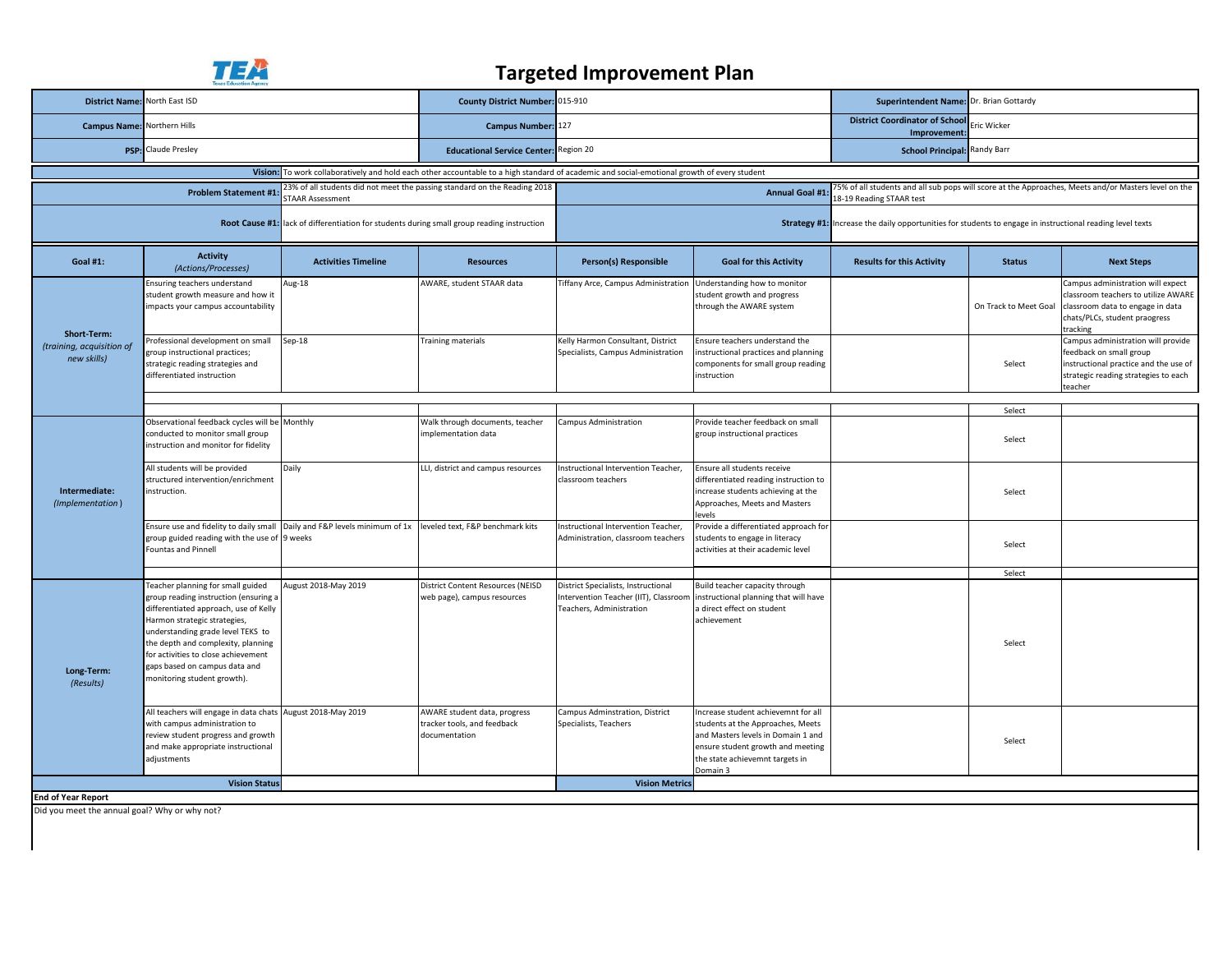

## **Targeted Improvement Plan**

| District Name: North East ISD                                                                                                               |                                                                                                                                                                                                                                                                                                                                       |                            | County District Number: 015-910                                                                                                                                |                                                                                                          |                                                                                                                                                                                                    | Superintendent Name: Dr. Brian Gottardy                                                                   |                       |                                                                                                                                                           |  |
|---------------------------------------------------------------------------------------------------------------------------------------------|---------------------------------------------------------------------------------------------------------------------------------------------------------------------------------------------------------------------------------------------------------------------------------------------------------------------------------------|----------------------------|----------------------------------------------------------------------------------------------------------------------------------------------------------------|----------------------------------------------------------------------------------------------------------|----------------------------------------------------------------------------------------------------------------------------------------------------------------------------------------------------|-----------------------------------------------------------------------------------------------------------|-----------------------|-----------------------------------------------------------------------------------------------------------------------------------------------------------|--|
| <b>Campus Name: Northern Hills</b>                                                                                                          |                                                                                                                                                                                                                                                                                                                                       |                            | Campus Number: 127                                                                                                                                             |                                                                                                          |                                                                                                                                                                                                    | <b>District Coordinator of School</b><br>Improvement:                                                     | ric Wicker            |                                                                                                                                                           |  |
|                                                                                                                                             | <b>PSP:</b> Claude Presley                                                                                                                                                                                                                                                                                                            |                            | <b>Educational Service Center: Region 20</b>                                                                                                                   |                                                                                                          |                                                                                                                                                                                                    | <b>School Principal: Randy Barr</b>                                                                       |                       |                                                                                                                                                           |  |
| Vision: To work collaboratively and hold each other accountable to a high standard of academic and social-emotional growth of every student |                                                                                                                                                                                                                                                                                                                                       |                            |                                                                                                                                                                |                                                                                                          |                                                                                                                                                                                                    |                                                                                                           |                       |                                                                                                                                                           |  |
| 23% of all students did not meet the passing standard on the Reading 2018<br><b>Problem Statement #1</b><br><b>STAAR Assessment</b>         |                                                                                                                                                                                                                                                                                                                                       |                            | 5% of all students and all sub pops will score at the Approaches, Meets and/or Masters level on the<br><b>Annual Goal #1</b><br><b>8-19 Reading STAAR test</b> |                                                                                                          |                                                                                                                                                                                                    |                                                                                                           |                       |                                                                                                                                                           |  |
| Root Cause #1: lack of differentiation for students during small group reading instruction                                                  |                                                                                                                                                                                                                                                                                                                                       |                            |                                                                                                                                                                |                                                                                                          |                                                                                                                                                                                                    | Strategy #1: Increase the daily opportunities for students to engage in instructional reading level texts |                       |                                                                                                                                                           |  |
| <b>Goal #1:</b>                                                                                                                             | <b>Activity</b><br>(Actions/Processes)                                                                                                                                                                                                                                                                                                | <b>Activities Timeline</b> | <b>Resources</b>                                                                                                                                               | Person(s) Responsible                                                                                    | <b>Goal for this Activity</b>                                                                                                                                                                      | <b>Results for this Activity</b>                                                                          | <b>Status</b>         | <b>Next Steps</b>                                                                                                                                         |  |
| Short-Term:<br>(training, acquisition of<br>new skills)                                                                                     | Insuring teachers understand<br>student growth measure and how it<br>impacts your campus accountability                                                                                                                                                                                                                               | Aug-18                     | AWARE, student STAAR data                                                                                                                                      | Fiffany Arce, Campus Administration                                                                      | Understanding how to monitor<br>student growth and progress<br>through the AWARE system                                                                                                            |                                                                                                           | On Track to Meet Goal | Campus administration will expect<br>classroom teachers to utilize AWARE<br>classroom data to engage in data<br>chats/PLCs, student praogress<br>tracking |  |
|                                                                                                                                             | Professional development on small<br>group instructional practices;<br>strategic reading strategies and<br>differentiated instruction                                                                                                                                                                                                 | Sep-18                     | Training materials                                                                                                                                             | Kelly Harmon Consultant, District<br>Specialists, Campus Administration                                  | Ensure teachers understand the<br>instructional practices and planning<br>components for small group reading<br>instruction                                                                        |                                                                                                           | Select                | Campus administration will provide<br>feedback on small group<br>instructional practice and the use of<br>strategic reading strategies to each<br>teacher |  |
|                                                                                                                                             |                                                                                                                                                                                                                                                                                                                                       |                            |                                                                                                                                                                |                                                                                                          |                                                                                                                                                                                                    |                                                                                                           | Select                |                                                                                                                                                           |  |
| Intermediate:<br>(Implementation)                                                                                                           | Observational feedback cycles will be Monthly<br>conducted to monitor small group<br>instruction and monitor for fidelity                                                                                                                                                                                                             |                            | Walk through documents, teacher<br>mplementation data                                                                                                          | Campus Administration                                                                                    | Provide teacher feedback on small<br>group instructional practices                                                                                                                                 |                                                                                                           | Select                |                                                                                                                                                           |  |
|                                                                                                                                             | All students will be provided<br>structured intervention/enrichment<br>instruction.                                                                                                                                                                                                                                                   | Daily                      | LLI, district and campus resources                                                                                                                             | Instructional Intervention Teacher,<br>classroom teachers                                                | Ensure all students receive<br>differentiated reading instruction to<br>increase students achieving at the<br>Approaches, Meets and Masters<br>evels                                               |                                                                                                           | Select                |                                                                                                                                                           |  |
|                                                                                                                                             | Ensure use and fidelity to daily small Daily and F&P levels minimum of 1x<br>group guided reading with the use of 9 weeks<br><b>Fountas and Pinnell</b>                                                                                                                                                                               |                            | leveled text, F&P benchmark kits                                                                                                                               | Instructional Intervention Teacher,<br>Administration, classroom teachers                                | Provide a differentiated approach for<br>students to engage in literacy<br>activities at their academic level                                                                                      |                                                                                                           | Select                |                                                                                                                                                           |  |
|                                                                                                                                             |                                                                                                                                                                                                                                                                                                                                       |                            |                                                                                                                                                                |                                                                                                          |                                                                                                                                                                                                    |                                                                                                           | Select                |                                                                                                                                                           |  |
| Long-Term:<br>(Results)                                                                                                                     | Teacher planning for small guided<br>group reading instruction (ensuring a<br>differentiated approach, use of Kelly<br>Harmon strategic strategies,<br>understanding grade level TEKS to<br>the depth and complexity, planning<br>for activities to close achievement<br>gaps based on campus data and<br>monitoring student growth). | August 2018-May 2019       | District Content Resources (NEISD<br>web page), campus resources                                                                                               | District Specialists, Instructional<br>Intervention Teacher (IIT), Classroom<br>Teachers, Administration | Build teacher capacity through<br>instructional planning that will have<br>a direct effect on student<br>achievement                                                                               |                                                                                                           | Select                |                                                                                                                                                           |  |
|                                                                                                                                             | All teachers will engage in data chats August 2018-May 2019<br>with campus administration to<br>review student progress and growth<br>and make appropriate instructional<br>adjustments                                                                                                                                               |                            | AWARE student data, progress<br>tracker tools, and feedback<br>documentation                                                                                   | Campus Adminstration, District<br>Specialists, Teachers                                                  | Increase student achievemnt for all<br>students at the Approaches, Meets<br>and Masters levels in Domain 1 and<br>ensure student growth and meeting<br>the state achievemnt targets in<br>Domain 3 |                                                                                                           | Select                |                                                                                                                                                           |  |
|                                                                                                                                             | <b>Vision Status</b>                                                                                                                                                                                                                                                                                                                  |                            |                                                                                                                                                                | <b>Vision Metrics</b>                                                                                    |                                                                                                                                                                                                    |                                                                                                           |                       |                                                                                                                                                           |  |
| <b>End of Year Report</b>                                                                                                                   |                                                                                                                                                                                                                                                                                                                                       |                            |                                                                                                                                                                |                                                                                                          |                                                                                                                                                                                                    |                                                                                                           |                       |                                                                                                                                                           |  |
| Did you meet the annual goal? Why or why not?                                                                                               |                                                                                                                                                                                                                                                                                                                                       |                            |                                                                                                                                                                |                                                                                                          |                                                                                                                                                                                                    |                                                                                                           |                       |                                                                                                                                                           |  |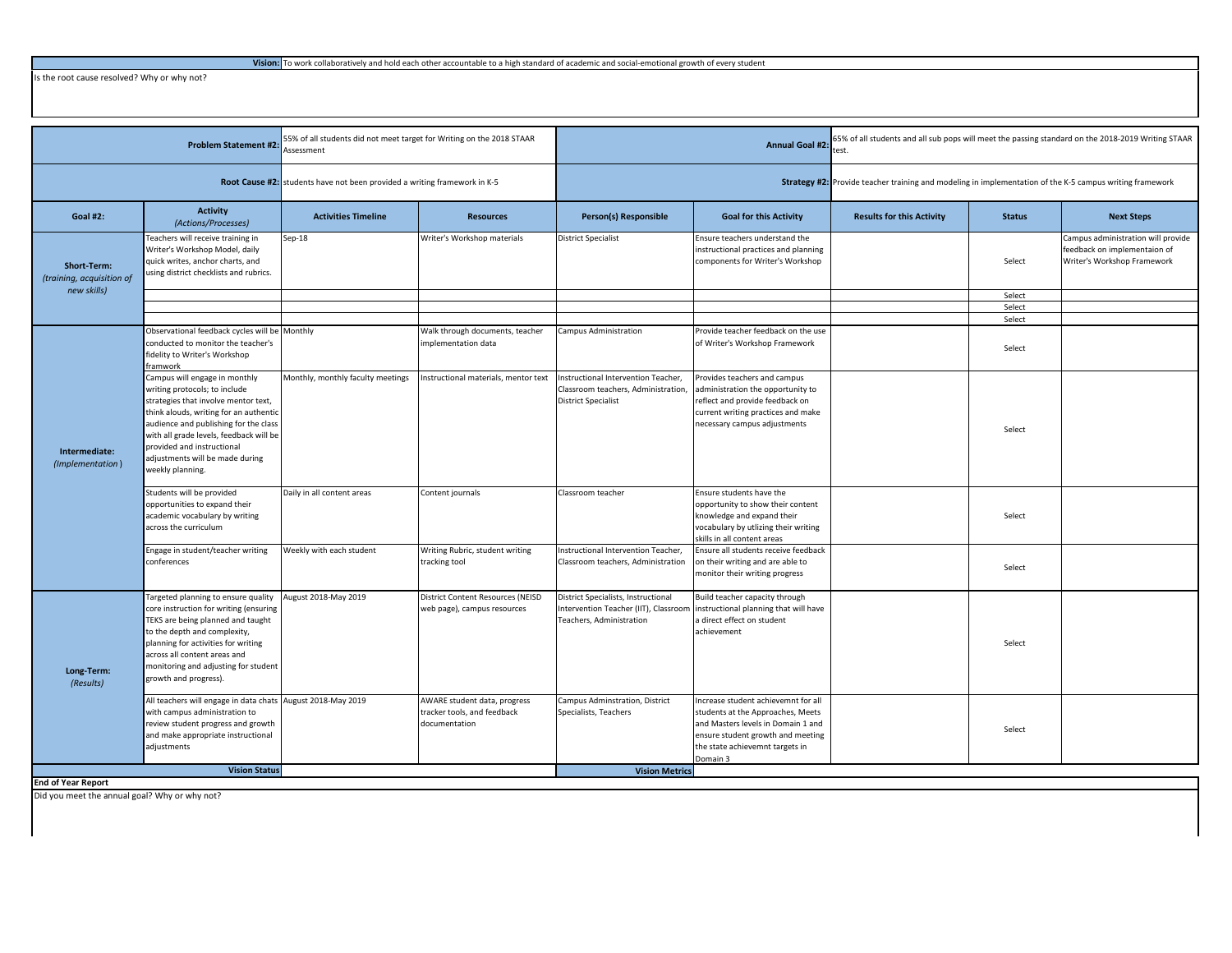Is the root cause resolved? Why or why not?

| <b>Problem Statement #2:</b>                            |                                                                                                                                                                                                                                                                                                                           | 55% of all students did not meet target for Writing on the 2018 STAAR<br>Assessment |                                                                              | <b>Annual Goal #2</b>                                                                                    |                                                                                                                                                                                                    | 5% of all students and all sub pops will meet the passing standard on the 2018-2019 Writing STAAR<br>est. |                  |                                                                                                   |
|---------------------------------------------------------|---------------------------------------------------------------------------------------------------------------------------------------------------------------------------------------------------------------------------------------------------------------------------------------------------------------------------|-------------------------------------------------------------------------------------|------------------------------------------------------------------------------|----------------------------------------------------------------------------------------------------------|----------------------------------------------------------------------------------------------------------------------------------------------------------------------------------------------------|-----------------------------------------------------------------------------------------------------------|------------------|---------------------------------------------------------------------------------------------------|
|                                                         |                                                                                                                                                                                                                                                                                                                           | Root Cause #2: students have not been provided a writing framework in K-5           |                                                                              | Strategy #2: Provide teacher training and modeling in implementation of the K-5 campus writing framework |                                                                                                                                                                                                    |                                                                                                           |                  |                                                                                                   |
| <b>Goal #2:</b>                                         | <b>Activity</b><br>(Actions/Processes)                                                                                                                                                                                                                                                                                    | <b>Activities Timeline</b>                                                          | <b>Resources</b>                                                             | Person(s) Responsible                                                                                    | <b>Goal for this Activity</b>                                                                                                                                                                      | <b>Results for this Activity</b>                                                                          | <b>Status</b>    | <b>Next Steps</b>                                                                                 |
| Short-Term:<br>(training, acquisition of<br>new skills) | eachers will receive training in<br>Writer's Workshop Model, daily<br>quick writes, anchor charts, and<br>using district checklists and rubrics.                                                                                                                                                                          | $Sep-18$                                                                            | Writer's Workshop materials                                                  | <b>District Specialist</b>                                                                               | Ensure teachers understand the<br>instructional practices and planning<br>components for Writer's Workshop                                                                                         |                                                                                                           | Select           | Campus administration will provide<br>feedback on implementaion of<br>Writer's Workshop Framework |
|                                                         |                                                                                                                                                                                                                                                                                                                           |                                                                                     |                                                                              |                                                                                                          |                                                                                                                                                                                                    |                                                                                                           | Select           |                                                                                                   |
|                                                         |                                                                                                                                                                                                                                                                                                                           |                                                                                     |                                                                              |                                                                                                          |                                                                                                                                                                                                    |                                                                                                           | Select<br>Select |                                                                                                   |
| Intermediate:<br>(Implementation)                       | Observational feedback cycles will be Monthly<br>conducted to monitor the teacher's<br>fidelity to Writer's Workshop<br>framwork                                                                                                                                                                                          |                                                                                     | Walk through documents, teacher<br>implementation data                       | Campus Administration                                                                                    | Provide teacher feedback on the use<br>of Writer's Workshop Framework                                                                                                                              |                                                                                                           | Select           |                                                                                                   |
|                                                         | Campus will engage in monthly<br>writing protocols; to include<br>strategies that involve mentor text,<br>think alouds, writing for an authentic<br>audience and publishing for the class<br>with all grade levels, feedback will be<br>provided and instructional<br>adjustments will be made during<br>weekly planning. | Monthly, monthly faculty meetings                                                   | Instructional materials, mentor text                                         | Instructional Intervention Teacher,<br>Classroom teachers, Administration<br><b>District Specialist</b>  | Provides teachers and campus<br>administration the opportunity to<br>reflect and provide feedback on<br>current writing practices and make<br>necessary campus adjustments                         |                                                                                                           | Select           |                                                                                                   |
|                                                         | Students will be provided<br>opportunities to expand their<br>academic vocabulary by writing<br>across the curriculum                                                                                                                                                                                                     | Daily in all content areas                                                          | Content journals                                                             | Classroom teacher                                                                                        | Ensure students have the<br>opportunity to show their content<br>knowledge and expand their<br>vocabulary by utlizing their writing<br>skills in all content areas                                 |                                                                                                           | Select           |                                                                                                   |
|                                                         | Engage in student/teacher writing<br>conferences                                                                                                                                                                                                                                                                          | Weekly with each student                                                            | Writing Rubric, student writing<br>tracking tool                             | Instructional Intervention Teacher,<br>Classroom teachers, Administration                                | Ensure all students receive feedback<br>on their writing and are able to<br>monitor their writing progress                                                                                         |                                                                                                           | Select           |                                                                                                   |
| Long-Term:<br>(Results)                                 | Targeted planning to ensure quality<br>core instruction for writing (ensuring<br>TEKS are being planned and taught<br>to the depth and complexity,<br>planning for activities for writing<br>across all content areas and<br>monitoring and adjusting for student<br>growth and progress).                                | August 2018-May 2019                                                                | District Content Resources (NEISD<br>web page), campus resources             | District Specialists, Instructional<br>Intervention Teacher (IIT), Classroom<br>Teachers, Administration | Build teacher capacity through<br>instructional planning that will have<br>a direct effect on student<br>achievement                                                                               |                                                                                                           | Select           |                                                                                                   |
|                                                         | All teachers will engage in data chats August 2018-May 2019<br>with campus administration to<br>review student progress and growth<br>and make appropriate instructional<br>adjustments                                                                                                                                   |                                                                                     | AWARE student data, progress<br>tracker tools, and feedback<br>documentation | Campus Adminstration, District<br>Specialists, Teachers                                                  | Increase student achievemnt for all<br>students at the Approaches, Meets<br>and Masters levels in Domain 1 and<br>ensure student growth and meeting<br>the state achievemnt targets in<br>Domain 3 |                                                                                                           | Select           |                                                                                                   |
|                                                         | <b>Vision Status</b>                                                                                                                                                                                                                                                                                                      |                                                                                     |                                                                              | <b>Vision Metrics</b>                                                                                    |                                                                                                                                                                                                    |                                                                                                           |                  |                                                                                                   |
| <b>End of Year Report</b>                               |                                                                                                                                                                                                                                                                                                                           |                                                                                     |                                                                              |                                                                                                          |                                                                                                                                                                                                    |                                                                                                           |                  |                                                                                                   |

Did you meet the annual goal? Why or why not?